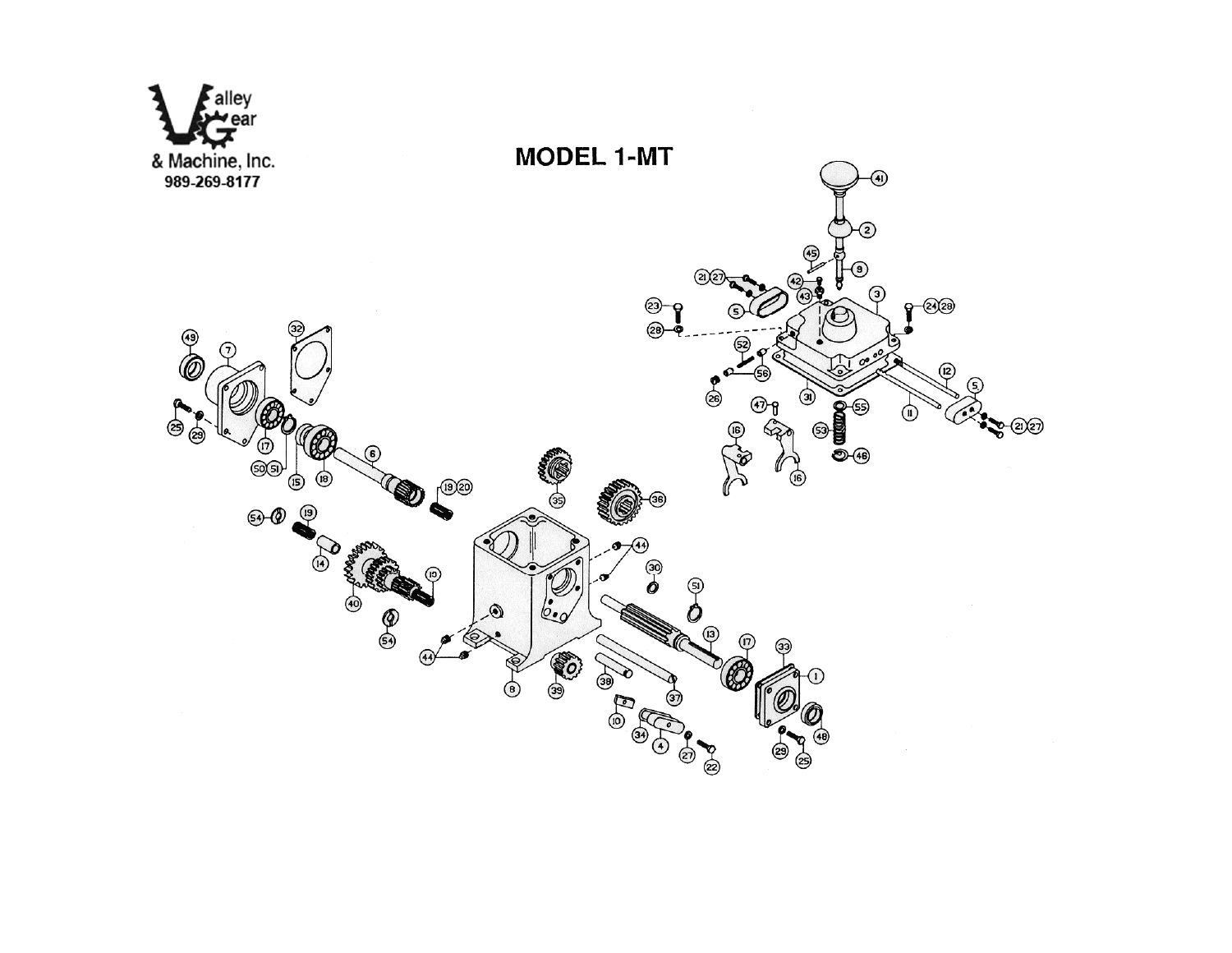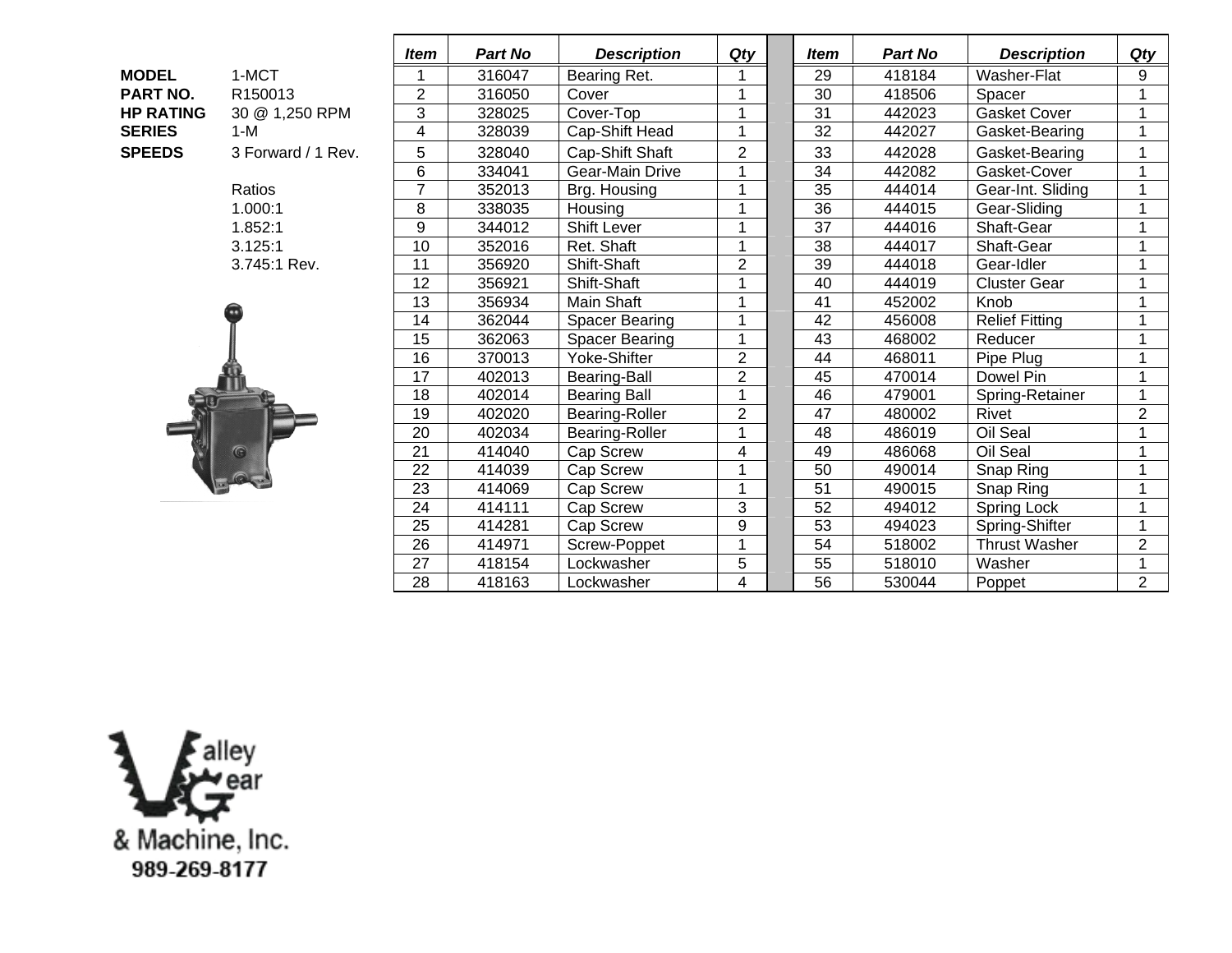|                  |                     | <b>Item</b>    | <b>Part No</b> | <b>Description</b>    | Qty            |  | <b>Item</b>     | <b>Part No</b> | <b>Description</b>    | Qty            |
|------------------|---------------------|----------------|----------------|-----------------------|----------------|--|-----------------|----------------|-----------------------|----------------|
| <b>MODEL</b>     | 1-MCT               | 1              | 316047         | Bearing Ret.          |                |  | 29              | 418184         | Washer-Flat           | 9              |
| PART NO.         | R <sub>150013</sub> | $\overline{2}$ | 316050         | Cover                 |                |  | $\overline{30}$ | 418506         | Spacer                |                |
| <b>HP RATING</b> | 30 @ 1,250 RPM      | 3              | 328025         | Cover-Top             |                |  | $\overline{31}$ | 442023         | <b>Gasket Cover</b>   | $\overline{1}$ |
| <b>SERIES</b>    | $1-M$               | 4              | 328039         | Cap-Shift Head        |                |  | 32              | 442027         | Gasket-Bearing        |                |
| <b>SPEEDS</b>    | 3 Forward / 1 Rev.  | 5<br>328040    |                | Cap-Shift Shaft       | $\overline{2}$ |  | 33              | 442028         | Gasket-Bearing        | 1              |
|                  |                     | 6              | 334041         | Gear-Main Drive       |                |  | 34              | 442082         | Gasket-Cover          | $\mathbf{1}$   |
|                  | Ratios              | $\overline{7}$ | 352013         | Brg. Housing          |                |  | 35              | 444014         | Gear-Int. Sliding     |                |
|                  | 1.000:1             | 8              | 338035         | Housing               |                |  | 36              | 444015         | Gear-Sliding          | 1              |
|                  | 1.852:1             | 9              | 344012         | <b>Shift Lever</b>    |                |  | 37              | 444016         | Shaft-Gear            | 1              |
|                  | 3.125:1             | 10             | 352016         | Ret. Shaft            | $\overline{1}$ |  | 38              | 444017         | Shaft-Gear            | $\mathbf{1}$   |
|                  | 3.745:1 Rev.        | 11             | 356920         | Shift-Shaft           | $\overline{2}$ |  | 39              | 444018         | Gear-Idler            |                |
|                  |                     | 12             | 356921         | Shift-Shaft           |                |  | 40              | 444019         | <b>Cluster Gear</b>   |                |
|                  |                     | 13             | 356934         | Main Shaft            |                |  | 41              | 452002         | Knob                  | 1              |
|                  |                     | 14             | 362044         | <b>Spacer Bearing</b> |                |  | 42              | 456008         | <b>Relief Fitting</b> | 1              |
|                  |                     | 15             | 362063         | <b>Spacer Bearing</b> |                |  | 43              | 468002         | Reducer               | 1              |
|                  |                     | 16             | 370013         | Yoke-Shifter          | $\overline{2}$ |  | 44              | 468011         | Pipe Plug             | 1              |
|                  |                     | 17             | 402013         | Bearing-Ball          | $\overline{2}$ |  | 45              | 470014         | Dowel Pin             | 1              |
|                  |                     | 18             | 402014         | <b>Bearing Ball</b>   | 1              |  | 46              | 479001         | Spring-Retainer       | 1              |
|                  |                     | 19             | 402020         | Bearing-Roller        | $\overline{2}$ |  | 47              | 480002         | Rivet                 | $\overline{2}$ |
|                  |                     | 20             | 402034         | Bearing-Roller        | 1              |  | 48              | 486019         | Oil Seal              | 1              |
|                  |                     | 21             | 414040         | Cap Screw             | 4              |  | 49              | 486068         | Oil Seal              | 1              |
|                  |                     | 22             | 414039         | Cap Screw             |                |  | 50              | 490014         | Snap Ring             | 1              |
|                  |                     | 23             | 414069         | Cap Screw             |                |  | 51              | 490015         | Snap Ring             | 4              |
|                  |                     | 24             | 414111         | Cap Screw             | 3              |  | 52              | 494012         | Spring Lock           | 1              |
|                  |                     | 25             | 414281         | Cap Screw             | 9              |  | 53              | 494023         | Spring-Shifter        | 4              |
|                  |                     | 26             | 414971         | Screw-Poppet          |                |  | 54              | 518002         | <b>Thrust Washer</b>  | $\overline{2}$ |
|                  |                     | 27             | 418154         | Lockwasher            | 5              |  | 55              | 518010         | Washer                | 1              |
|                  |                     | 28             | 418163         | Lockwasher            | $\overline{4}$ |  | 56              | 530044         | Poppet                | $\overline{2}$ |